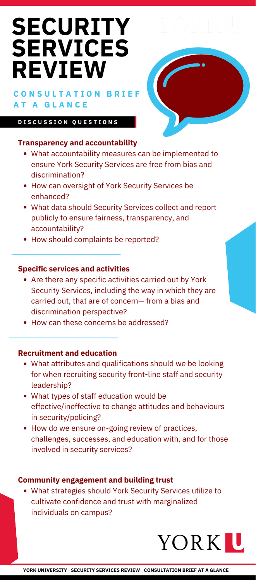- What accountability measures can be implemented to ensure York Security Services are free from bias and discrimination?
- How can oversight of York Security Services be enhanced?
- What data should Security Services collect and report publicly to ensure fairness, transparency, and accountability?
- How should complaints be reported?

## **Specific services and activities**

- Are there any specific activities carried out by York Security Services, including the way in which they are carried out, that are of concern— from a bias and discrimination perspective?
- How can these concerns be addressed?

# **[SECURITY](https://www.yorku.ca/safety/security-review/) SERVICES REVIEW**

# **C O N S U L T A T I O N B R I E F A T A G L A N C E**

## **Transparency and accountability**

#### **D I S C U S S I O N Q U E S T I O N S**



- What attributes and qualifications should we be looking for when recruiting security front-line staff and security leadership?
- What types of staff education would be effective/ineffective to change attitudes and behaviours in security/policing?
- How do we ensure on-going review of practices, challenges, successes, and education with, and for those involved in security services?

## **Recruitment and education**

What strategies should York Security Services utilize to cultivate confidence and trust with marginalized individuals on campus?

# YORKIU

#### **Community engagement and building trust**